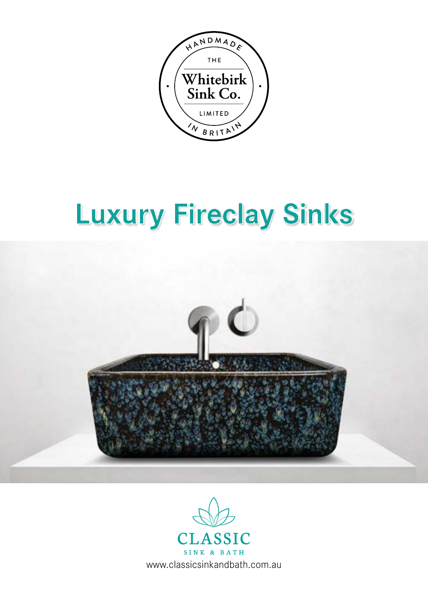

# **Luxury Fireclay Sinks Luxury Fireclay Sinks**



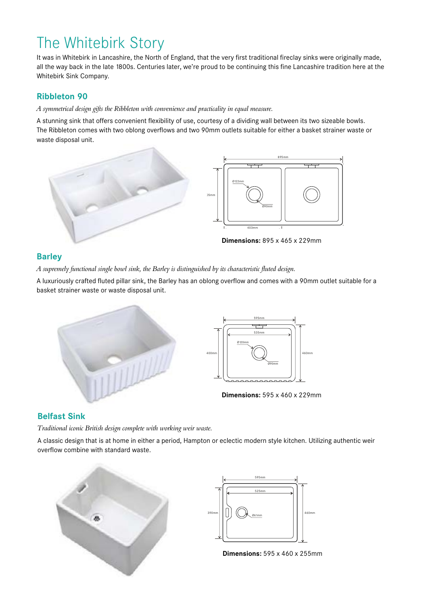# The Whitebirk Story

It was in Whitebirk in Lancashire, the North of England, that the very first traditional fireclay sinks were originally made, all the way back in the late 1800s. Centuries later, we're proud to be continuing this fine Lancashire tradition here at the Whitebirk Sink Company.

### **Ribbleton 90**

*A symmetrical design gifts the Ribbleton with convenience and practicality in equal measure.*

A stunning sink that offers convenient flexibility of use, courtesy of a dividing wall between its two sizeable bowls. The Ribbleton comes with two oblong overflows and two 90mm outlets suitable for either a basket strainer waste or waste disposal unit.



## **Barley**

*A supremely functional single bowl sink, the Barley is distinguished by its characteristic fluted design.*

A luxuriously crafted fluted pillar sink, the Barley has an oblong overflow and comes with a 90mm outlet suitable for a basket strainer waste or waste disposal unit.



**Dimensions:** 595 x 460 x 229mm

### **Belfast Sink**

*Traditional iconic British design complete with working weir waste.*

A classic design that is at home in either a period, Hampton or eclectic modern style kitchen. Utilizing authentic weir overflow combine with standard waste.





**Dimensions:** 595 x 460 x 255mm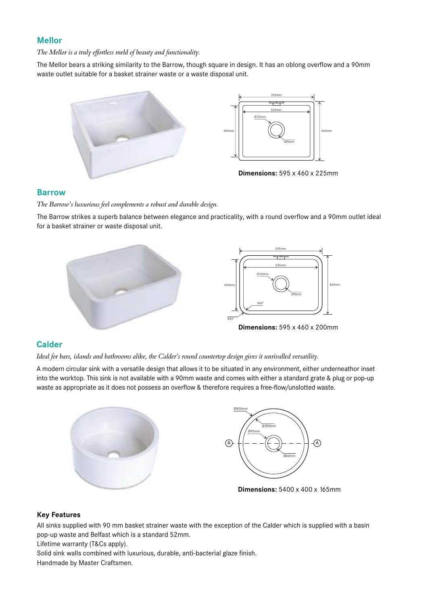## **Mellor**

*The Mellor is a truly effortless meld of beauty and functionality.*

The Mellor bears a striking similarity to the Barrow, though square in design. It has an oblong overflow and a 90mm waste outlet suitable for a basket strainer waste or a waste disposal unit.





**Dimensions:** 595 x 460 x 225mm

#### **Barrow**

*The Barrow's luxurious feel complements a robust and durable design.*

The Barrow strikes a superb balance between elegance and practicality, with a round overflow and a 90mm outlet ideal for a basket strainer or waste disposal unit.



# **Calder**

*Ideal for bars, islands and bathrooms alike, the Calder's round countertop design gives it unrivalled versatility.*

A modern circular sink with a versatile design that allows it to be situated in any environment, either underneathor inset into the worktop. This sink is not available with a 90mm waste and comes with either a standard grate & plug or pop-up waste as appropriate as it does not possess an overflow & therefore requires a free-flow/unslotted waste.





**Dimensions:** 5400 x 400 x 165mm

#### **Key Features**

All sinks supplied with 90 mm basket strainer waste with the exception of the Calder which is supplied with a basin pop-up waste and Belfast which is a standard 52mm.

Lifetime warranty (T&Cs apply).

Solid sink walls combined with luxurious, durable, anti-bacterial glaze finish. Handmade by Master Craftsmen.